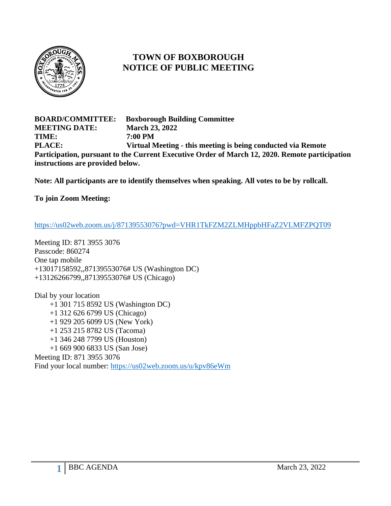

## **TOWN OF BOXBOROUGH NOTICE OF PUBLIC MEETING**

**BOARD/COMMITTEE: Boxborough Building Committee MEETING DATE: March 23, 2022 TIME: 7:00 PM PLACE: Virtual Meeting - this meeting is being conducted via Remote Participation, pursuant to the Current Executive Order of March 12, 2020. Remote participation instructions are provided below.**

**Note: All participants are to identify themselves when speaking. All votes to be by rollcall.**

**To join Zoom Meeting:**

<https://us02web.zoom.us/j/87139553076?pwd=VHR1TkFZM2ZLMHppbHFaZ2VLMFZPQT09>

Meeting ID: 871 3955 3076 Passcode: 860274 One tap mobile +13017158592,,87139553076# US (Washington DC) +13126266799,,87139553076# US (Chicago)

Dial by your location +1 301 715 8592 US (Washington DC) +1 312 626 6799 US (Chicago) +1 929 205 6099 US (New York) +1 253 215 8782 US (Tacoma) +1 346 248 7799 US (Houston) +1 669 900 6833 US (San Jose) Meeting ID: 871 3955 3076 Find your local number:<https://us02web.zoom.us/u/kpv86eWm>